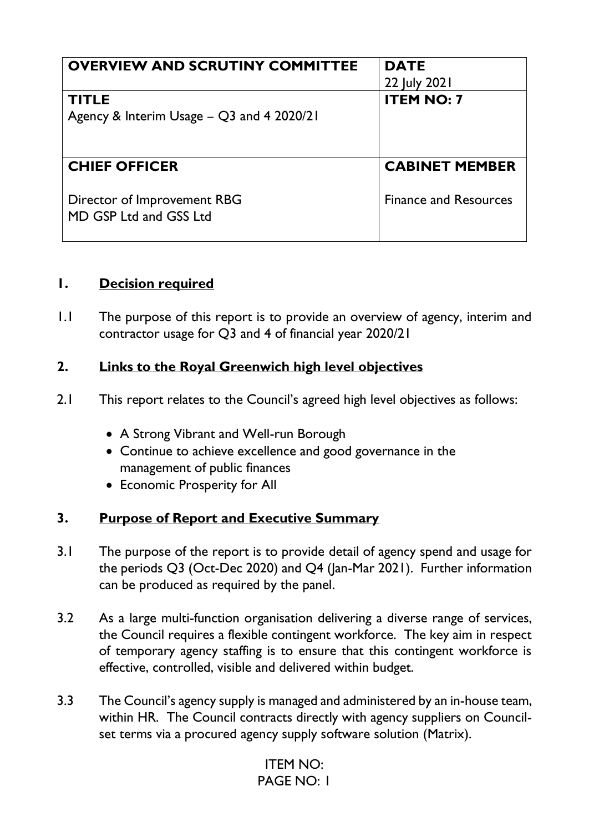| <b>OVERVIEW AND SCRUTINY COMMITTEE</b>                | <b>DATE</b>                  |
|-------------------------------------------------------|------------------------------|
|                                                       | 22 July 2021                 |
| <b>TITLE</b>                                          | <b>ITEM NO: 7</b>            |
| Agency & Interim Usage - Q3 and 4 2020/21             |                              |
|                                                       |                              |
| <b>CHIEF OFFICER</b>                                  | <b>CABINET MEMBER</b>        |
| Director of Improvement RBG<br>MD GSP Ltd and GSS Ltd | <b>Finance and Resources</b> |

### **1. Decision required**

1.1 The purpose of this report is to provide an overview of agency, interim and contractor usage for Q3 and 4 of financial year 2020/21

### **2. Links to the Royal Greenwich high level objectives**

- 2.1 This report relates to the Council's agreed high level objectives as follows:
	- A Strong Vibrant and Well-run Borough
	- Continue to achieve excellence and good governance in the management of public finances
	- Economic Prosperity for All

#### **3. Purpose of Report and Executive Summary**

- 3.1 The purpose of the report is to provide detail of agency spend and usage for the periods Q3 (Oct-Dec 2020) and Q4 (Jan-Mar 2021). Further information can be produced as required by the panel.
- 3.2 As a large multi-function organisation delivering a diverse range of services, the Council requires a flexible contingent workforce. The key aim in respect of temporary agency staffing is to ensure that this contingent workforce is effective, controlled, visible and delivered within budget.
- 3.3 The Council's agency supply is managed and administered by an in-house team, within HR. The Council contracts directly with agency suppliers on Councilset terms via a procured agency supply software solution (Matrix).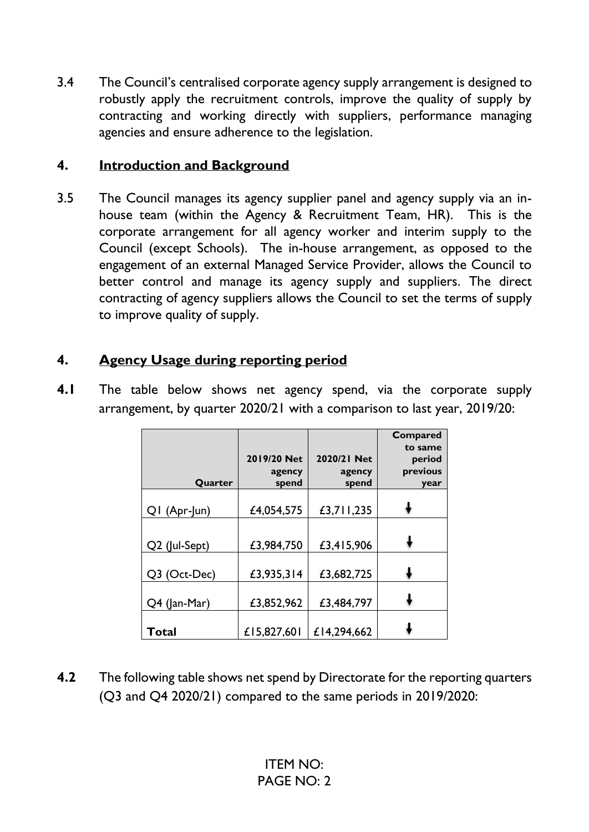3.4 The Council's centralised corporate agency supply arrangement is designed to robustly apply the recruitment controls, improve the quality of supply by contracting and working directly with suppliers, performance managing agencies and ensure adherence to the legislation.

### **4. Introduction and Background**

3.5 The Council manages its agency supplier panel and agency supply via an inhouse team (within the Agency & Recruitment Team, HR). This is the corporate arrangement for all agency worker and interim supply to the Council (except Schools). The in-house arrangement, as opposed to the engagement of an external Managed Service Provider, allows the Council to better control and manage its agency supply and suppliers. The direct contracting of agency suppliers allows the Council to set the terms of supply to improve quality of supply.

# **4. Agency Usage during reporting period**

**4.1** The table below shows net agency spend, via the corporate supply arrangement, by quarter 2020/21 with a comparison to last year, 2019/20:

| Quarter       | 2019/20 Net<br>agency<br>spend | 2020/21 Net<br>agency<br>spend | <b>Compared</b><br>to same<br>period<br>previous<br>year |
|---------------|--------------------------------|--------------------------------|----------------------------------------------------------|
| QI (Apr-Jun)  | £4,054,575                     | £3,711,235                     |                                                          |
| Q2 (Jul-Sept) | £3,984,750                     | £3,415,906                     |                                                          |
| Q3 (Oct-Dec)  | £3,935,314                     | £3,682,725                     |                                                          |
| Q4 (Jan-Mar)  | £3,852,962                     | £3,484,797                     |                                                          |
| Total         | £15,827,601                    | £14,294,662                    |                                                          |

**4.2** The following table shows net spend by Directorate for the reporting quarters (Q3 and Q4 2020/21) compared to the same periods in 2019/2020: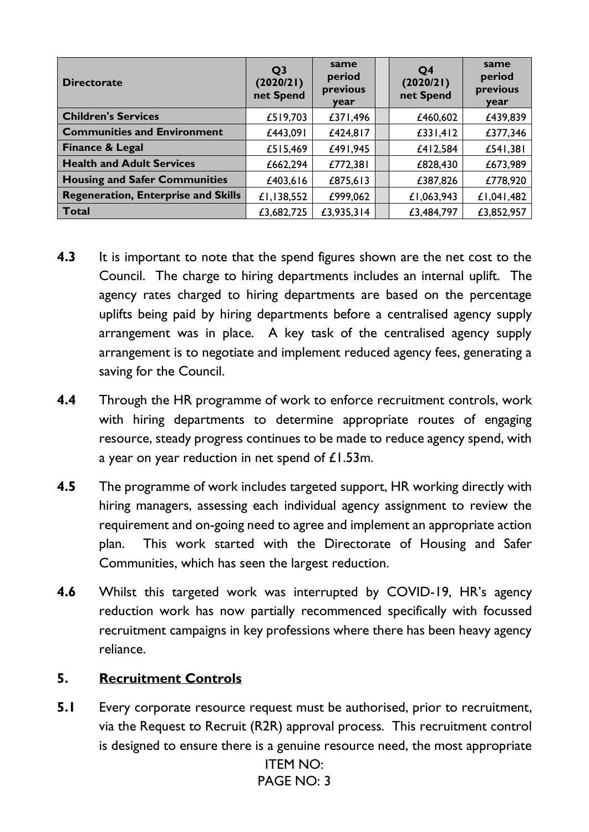| <b>Directorate</b>                         | Q <sub>3</sub><br>(2020/21)<br>net Spend | same<br>period<br>previous<br>year | Q <sub>4</sub><br>(2020/21)<br>net Spend | same<br>period<br>previous<br>year |
|--------------------------------------------|------------------------------------------|------------------------------------|------------------------------------------|------------------------------------|
| <b>Children's Services</b>                 | £519,703                                 | £371,496                           | £460,602                                 | £439,839                           |
| <b>Communities and Environment</b>         | £443,091                                 | £424,817                           | £331,412                                 | £377,346                           |
| <b>Finance &amp; Legal</b>                 | £515,469                                 | £491,945                           | £412,584                                 | £541,381                           |
| <b>Health and Adult Services</b>           | £662,294                                 | £772,381                           | £828,430                                 | £673,989                           |
| <b>Housing and Safer Communities</b>       | £403,616                                 | £875,613                           | £387,826                                 | £778,920                           |
| <b>Regeneration, Enterprise and Skills</b> | £1,138,552                               | £999,062                           | £1,063,943                               | £1,041,482                         |
| <b>Total</b>                               | £3,682,725                               | £3,935,314                         | £3,484,797                               | £3,852,957                         |

- **4.3** It is important to note that the spend figures shown are the net cost to the Council. The charge to hiring departments includes an internal uplift. The agency rates charged to hiring departments are based on the percentage uplifts being paid by hiring departments before a centralised agency supply arrangement was in place. A key task of the centralised agency supply arrangement is to negotiate and implement reduced agency fees, generating a saving for the Council.
- **4.4** Through the HR programme of work to enforce recruitment controls, work with hiring departments to determine appropriate routes of engaging resource, steady progress continues to be made to reduce agency spend, with a year on year reduction in net spend of £1.53m.
- **4.5** The programme of work includes targeted support, HR working directly with hiring managers, assessing each individual agency assignment to review the requirement and on-going need to agree and implement an appropriate action plan. This work started with the Directorate of Housing and Safer Communities, which has seen the largest reduction.
- **4.6** Whilst this targeted work was interrupted by COVID-19, HR's agency reduction work has now partially recommenced specifically with focussed recruitment campaigns in key professions where there has been heavy agency reliance.

# **5. Recruitment Controls**

**5.1** Every corporate resource request must be authorised, prior to recruitment, via the Request to Recruit (R2R) approval process. This recruitment control is designed to ensure there is a genuine resource need, the most appropriate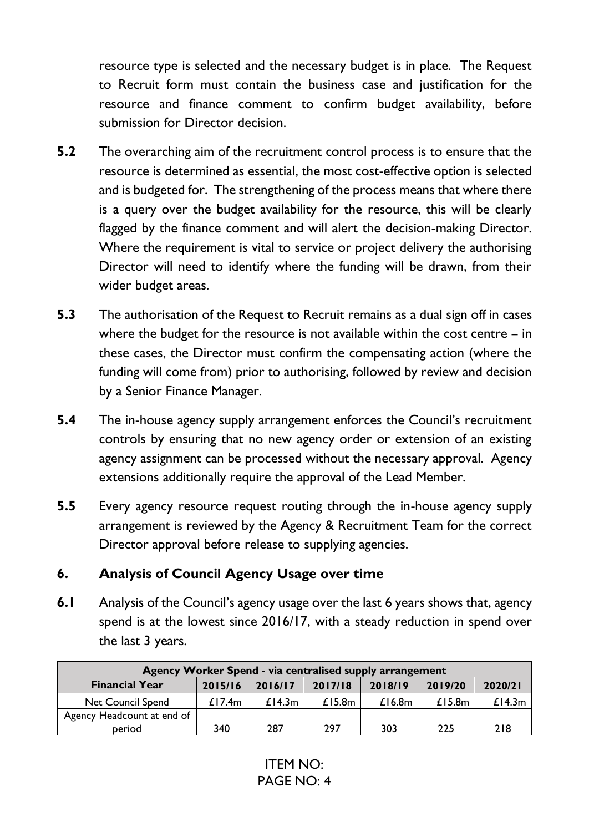resource type is selected and the necessary budget is in place. The Request to Recruit form must contain the business case and justification for the resource and finance comment to confirm budget availability, before submission for Director decision.

- **5.2** The overarching aim of the recruitment control process is to ensure that the resource is determined as essential, the most cost-effective option is selected and is budgeted for. The strengthening of the process means that where there is a query over the budget availability for the resource, this will be clearly flagged by the finance comment and will alert the decision-making Director. Where the requirement is vital to service or project delivery the authorising Director will need to identify where the funding will be drawn, from their wider budget areas.
- **5.3** The authorisation of the Request to Recruit remains as a dual sign off in cases where the budget for the resource is not available within the cost centre – in these cases, the Director must confirm the compensating action (where the funding will come from) prior to authorising, followed by review and decision by a Senior Finance Manager.
- **5.4** The in-house agency supply arrangement enforces the Council's recruitment controls by ensuring that no new agency order or extension of an existing agency assignment can be processed without the necessary approval. Agency extensions additionally require the approval of the Lead Member.
- **5.5** Every agency resource request routing through the in-house agency supply arrangement is reviewed by the Agency & Recruitment Team for the correct Director approval before release to supplying agencies.

#### **6. Analysis of Council Agency Usage over time**

**6.1** Analysis of the Council's agency usage over the last 6 years shows that, agency spend is at the lowest since 2016/17, with a steady reduction in spend over the last 3 years.

| Agency Worker Spend - via centralised supply arrangement |           |         |           |           |           |         |
|----------------------------------------------------------|-----------|---------|-----------|-----------|-----------|---------|
| <b>Financial Year</b>                                    | 2015/16   | 2016/17 | 2017/18   | 2018/19   | 2019/20   | 2020/21 |
| <b>Net Council Spend</b>                                 | £17.4 $m$ | £14.3m  | £15.8 $m$ | £16.8 $m$ | £15.8 $m$ | £14.3m  |
| Agency Headcount at end of                               |           |         |           |           |           |         |
| period                                                   | 340       | 287     | 297       | 303       | 225       | 218     |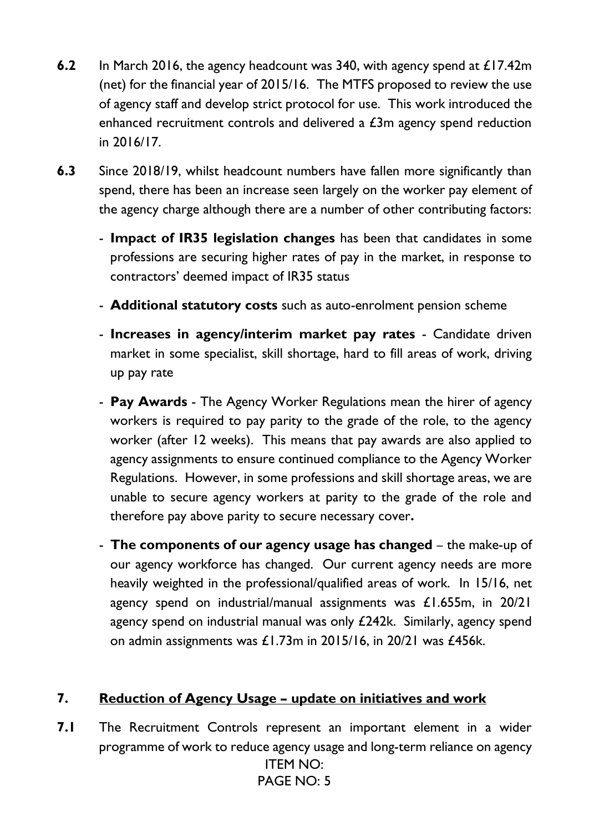- **6.2** In March 2016, the agency headcount was 340, with agency spend at £17.42m (net) for the financial year of 2015/16. The MTFS proposed to review the use of agency staff and develop strict protocol for use. This work introduced the enhanced recruitment controls and delivered a £3m agency spend reduction in 2016/17.
- **6.3** Since 2018/19, whilst headcount numbers have fallen more significantly than spend, there has been an increase seen largely on the worker pay element of the agency charge although there are a number of other contributing factors:
	- **Impact of IR35 legislation changes** has been that candidates in some professions are securing higher rates of pay in the market, in response to contractors' deemed impact of IR35 status
	- **Additional statutory costs** such as auto-enrolment pension scheme
	- **Increases in agency/interim market pay rates** Candidate driven market in some specialist, skill shortage, hard to fill areas of work, driving up pay rate
	- **Pay Awards** The Agency Worker Regulations mean the hirer of agency workers is required to pay parity to the grade of the role, to the agency worker (after 12 weeks). This means that pay awards are also applied to agency assignments to ensure continued compliance to the Agency Worker Regulations. However, in some professions and skill shortage areas, we are unable to secure agency workers at parity to the grade of the role and therefore pay above parity to secure necessary cover**.**
	- **The components of our agency usage has changed** the make-up of our agency workforce has changed. Our current agency needs are more heavily weighted in the professional/qualified areas of work. In 15/16, net agency spend on industrial/manual assignments was £1.655m, in 20/21 agency spend on industrial manual was only £242k. Similarly, agency spend on admin assignments was £1.73m in 2015/16, in 20/21 was £456k.

# **7. Reduction of Agency Usage – update on initiatives and work**

ITEM NO: PAGE NO: 5 **7.1** The Recruitment Controls represent an important element in a wider programme of work to reduce agency usage and long-term reliance on agency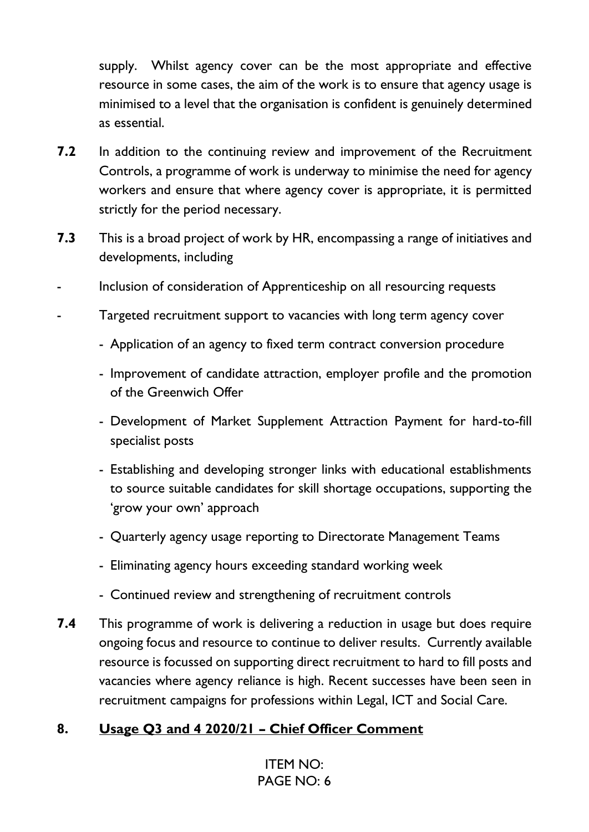supply. Whilst agency cover can be the most appropriate and effective resource in some cases, the aim of the work is to ensure that agency usage is minimised to a level that the organisation is confident is genuinely determined as essential.

- **7.2** In addition to the continuing review and improvement of the Recruitment Controls, a programme of work is underway to minimise the need for agency workers and ensure that where agency cover is appropriate, it is permitted strictly for the period necessary.
- **7.3** This is a broad project of work by HR, encompassing a range of initiatives and developments, including
- Inclusion of consideration of Apprenticeship on all resourcing requests
- Targeted recruitment support to vacancies with long term agency cover
	- Application of an agency to fixed term contract conversion procedure
	- Improvement of candidate attraction, employer profile and the promotion of the Greenwich Offer
	- Development of Market Supplement Attraction Payment for hard-to-fill specialist posts
	- Establishing and developing stronger links with educational establishments to source suitable candidates for skill shortage occupations, supporting the 'grow your own' approach
	- Quarterly agency usage reporting to Directorate Management Teams
	- Eliminating agency hours exceeding standard working week
	- Continued review and strengthening of recruitment controls
- **7.4** This programme of work is delivering a reduction in usage but does require ongoing focus and resource to continue to deliver results. Currently available resource is focussed on supporting direct recruitment to hard to fill posts and vacancies where agency reliance is high. Recent successes have been seen in recruitment campaigns for professions within Legal, ICT and Social Care.

# **8. Usage Q3 and 4 2020/21 – Chief Officer Comment**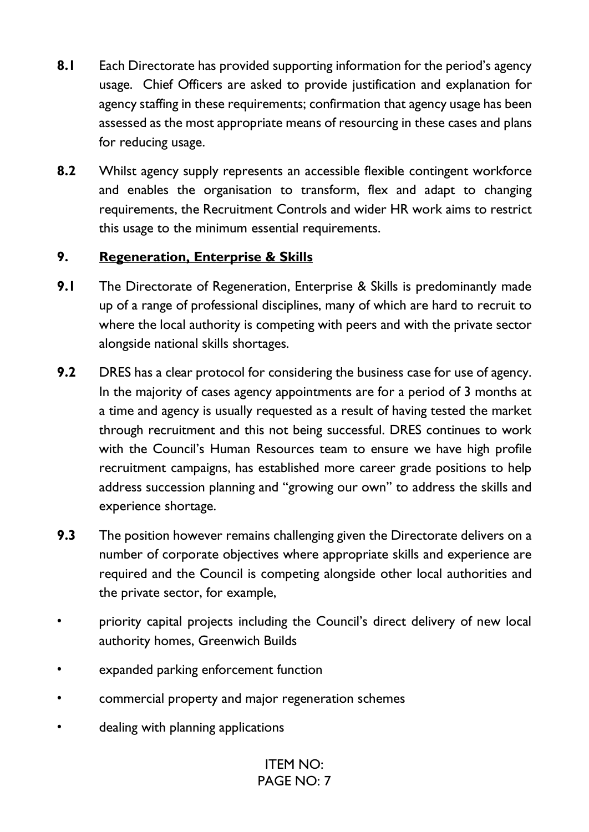- **8.1** Each Directorate has provided supporting information for the period's agency usage. Chief Officers are asked to provide justification and explanation for agency staffing in these requirements; confirmation that agency usage has been assessed as the most appropriate means of resourcing in these cases and plans for reducing usage.
- **8.2** Whilst agency supply represents an accessible flexible contingent workforce and enables the organisation to transform, flex and adapt to changing requirements, the Recruitment Controls and wider HR work aims to restrict this usage to the minimum essential requirements.

### **9. Regeneration, Enterprise & Skills**

- **9.1** The Directorate of Regeneration, Enterprise & Skills is predominantly made up of a range of professional disciplines, many of which are hard to recruit to where the local authority is competing with peers and with the private sector alongside national skills shortages.
- **9.2** DRES has a clear protocol for considering the business case for use of agency. In the majority of cases agency appointments are for a period of 3 months at a time and agency is usually requested as a result of having tested the market through recruitment and this not being successful. DRES continues to work with the Council's Human Resources team to ensure we have high profile recruitment campaigns, has established more career grade positions to help address succession planning and "growing our own" to address the skills and experience shortage.
- **9.3** The position however remains challenging given the Directorate delivers on a number of corporate objectives where appropriate skills and experience are required and the Council is competing alongside other local authorities and the private sector, for example,
- priority capital projects including the Council's direct delivery of new local authority homes, Greenwich Builds
- expanded parking enforcement function
- commercial property and major regeneration schemes
- dealing with planning applications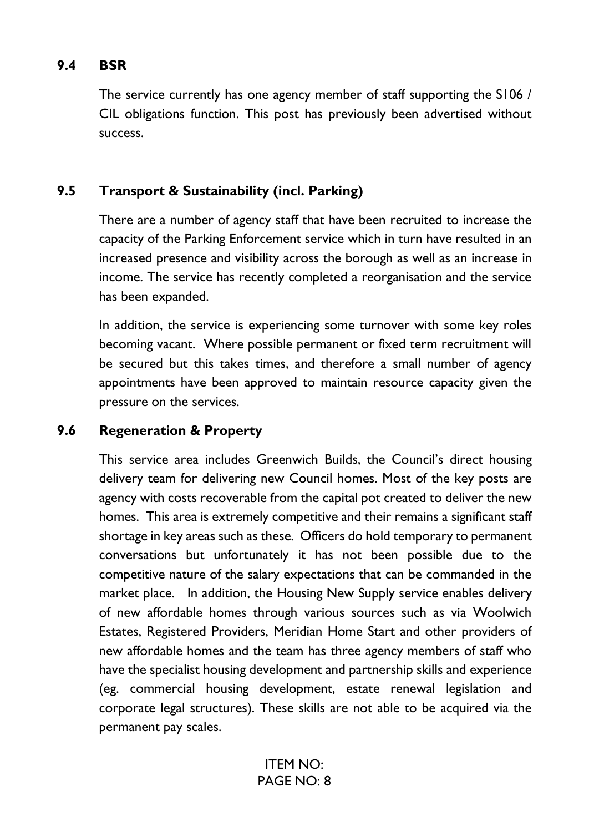### **9.4 BSR**

The service currently has one agency member of staff supporting the S106 / CIL obligations function. This post has previously been advertised without success.

### **9.5 Transport & Sustainability (incl. Parking)**

There are a number of agency staff that have been recruited to increase the capacity of the Parking Enforcement service which in turn have resulted in an increased presence and visibility across the borough as well as an increase in income. The service has recently completed a reorganisation and the service has been expanded.

In addition, the service is experiencing some turnover with some key roles becoming vacant. Where possible permanent or fixed term recruitment will be secured but this takes times, and therefore a small number of agency appointments have been approved to maintain resource capacity given the pressure on the services.

### **9.6 Regeneration & Property**

This service area includes Greenwich Builds, the Council's direct housing delivery team for delivering new Council homes. Most of the key posts are agency with costs recoverable from the capital pot created to deliver the new homes. This area is extremely competitive and their remains a significant staff shortage in key areas such as these. Officers do hold temporary to permanent conversations but unfortunately it has not been possible due to the competitive nature of the salary expectations that can be commanded in the market place. In addition, the Housing New Supply service enables delivery of new affordable homes through various sources such as via Woolwich Estates, Registered Providers, Meridian Home Start and other providers of new affordable homes and the team has three agency members of staff who have the specialist housing development and partnership skills and experience (eg. commercial housing development, estate renewal legislation and corporate legal structures). These skills are not able to be acquired via the permanent pay scales.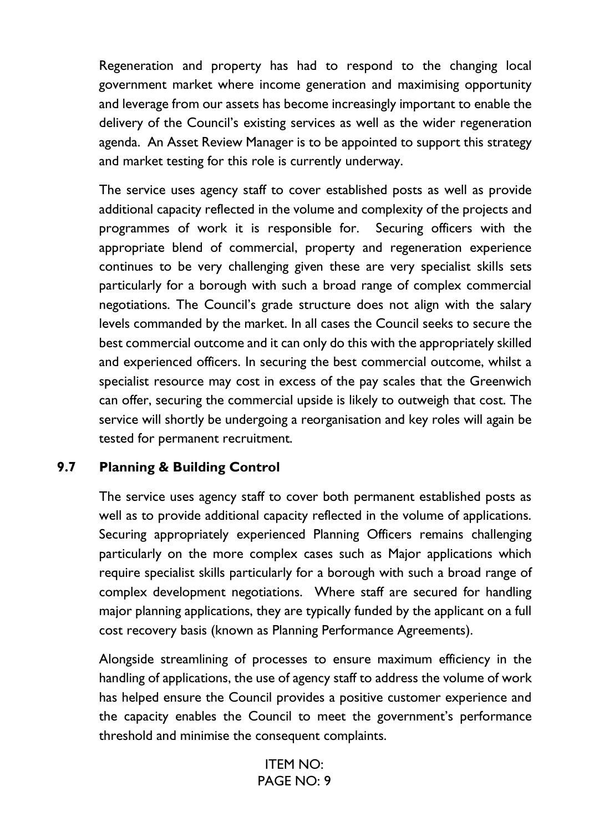Regeneration and property has had to respond to the changing local government market where income generation and maximising opportunity and leverage from our assets has become increasingly important to enable the delivery of the Council's existing services as well as the wider regeneration agenda. An Asset Review Manager is to be appointed to support this strategy and market testing for this role is currently underway.

The service uses agency staff to cover established posts as well as provide additional capacity reflected in the volume and complexity of the projects and programmes of work it is responsible for. Securing officers with the appropriate blend of commercial, property and regeneration experience continues to be very challenging given these are very specialist skills sets particularly for a borough with such a broad range of complex commercial negotiations. The Council's grade structure does not align with the salary levels commanded by the market. In all cases the Council seeks to secure the best commercial outcome and it can only do this with the appropriately skilled and experienced officers. In securing the best commercial outcome, whilst a specialist resource may cost in excess of the pay scales that the Greenwich can offer, securing the commercial upside is likely to outweigh that cost. The service will shortly be undergoing a reorganisation and key roles will again be tested for permanent recruitment.

#### **9.7 Planning & Building Control**

The service uses agency staff to cover both permanent established posts as well as to provide additional capacity reflected in the volume of applications. Securing appropriately experienced Planning Officers remains challenging particularly on the more complex cases such as Major applications which require specialist skills particularly for a borough with such a broad range of complex development negotiations. Where staff are secured for handling major planning applications, they are typically funded by the applicant on a full cost recovery basis (known as Planning Performance Agreements).

Alongside streamlining of processes to ensure maximum efficiency in the handling of applications, the use of agency staff to address the volume of work has helped ensure the Council provides a positive customer experience and the capacity enables the Council to meet the government's performance threshold and minimise the consequent complaints.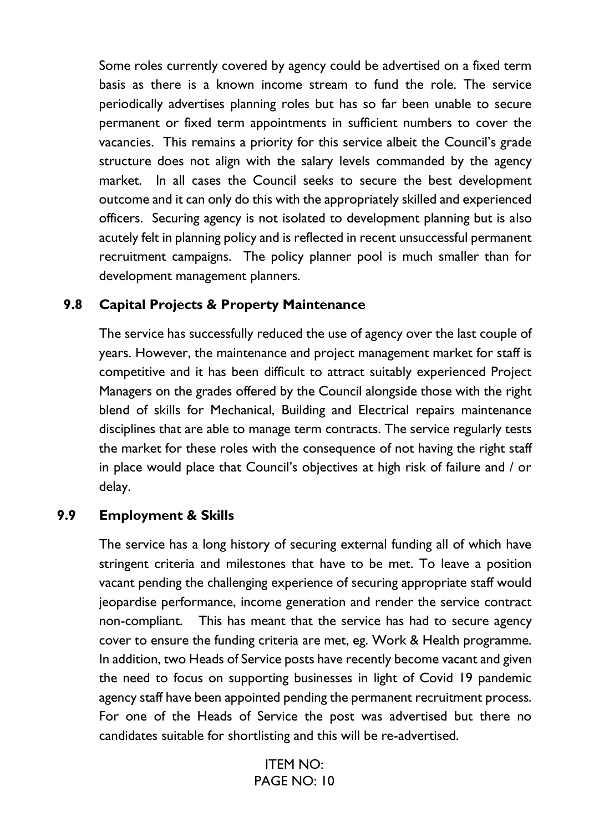Some roles currently covered by agency could be advertised on a fixed term basis as there is a known income stream to fund the role. The service periodically advertises planning roles but has so far been unable to secure permanent or fixed term appointments in sufficient numbers to cover the vacancies. This remains a priority for this service albeit the Council's grade structure does not align with the salary levels commanded by the agency market. In all cases the Council seeks to secure the best development outcome and it can only do this with the appropriately skilled and experienced officers. Securing agency is not isolated to development planning but is also acutely felt in planning policy and is reflected in recent unsuccessful permanent recruitment campaigns. The policy planner pool is much smaller than for development management planners.

#### **9.8 Capital Projects & Property Maintenance**

The service has successfully reduced the use of agency over the last couple of years. However, the maintenance and project management market for staff is competitive and it has been difficult to attract suitably experienced Project Managers on the grades offered by the Council alongside those with the right blend of skills for Mechanical, Building and Electrical repairs maintenance disciplines that are able to manage term contracts. The service regularly tests the market for these roles with the consequence of not having the right staff in place would place that Council's objectives at high risk of failure and / or delay.

#### **9.9 Employment & Skills**

The service has a long history of securing external funding all of which have stringent criteria and milestones that have to be met. To leave a position vacant pending the challenging experience of securing appropriate staff would jeopardise performance, income generation and render the service contract non-compliant. This has meant that the service has had to secure agency cover to ensure the funding criteria are met, eg. Work & Health programme. In addition, two Heads of Service posts have recently become vacant and given the need to focus on supporting businesses in light of Covid 19 pandemic agency staff have been appointed pending the permanent recruitment process. For one of the Heads of Service the post was advertised but there no candidates suitable for shortlisting and this will be re-advertised.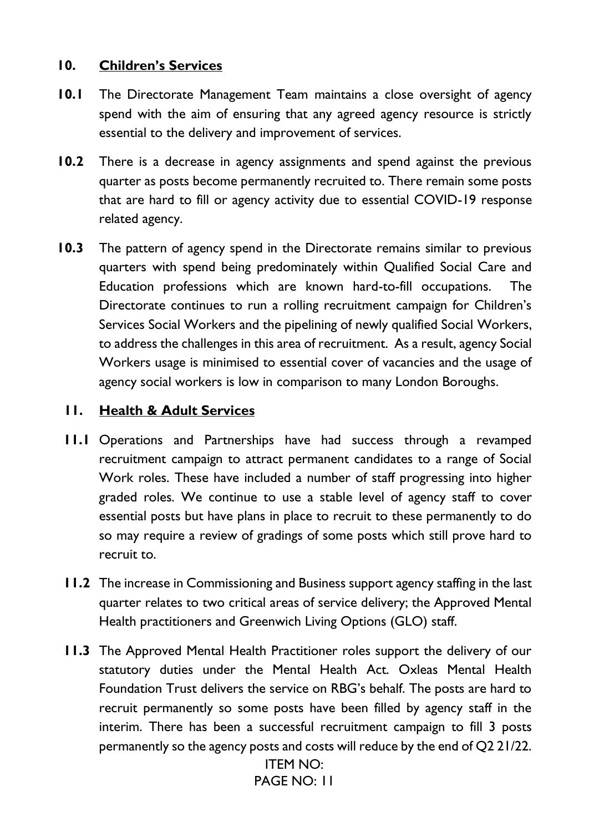#### **10. Children's Services**

- **10.1** The Directorate Management Team maintains a close oversight of agency spend with the aim of ensuring that any agreed agency resource is strictly essential to the delivery and improvement of services.
- **10.2** There is a decrease in agency assignments and spend against the previous quarter as posts become permanently recruited to. There remain some posts that are hard to fill or agency activity due to essential COVID-19 response related agency.
- **10.3** The pattern of agency spend in the Directorate remains similar to previous quarters with spend being predominately within Qualified Social Care and Education professions which are known hard-to-fill occupations. The Directorate continues to run a rolling recruitment campaign for Children's Services Social Workers and the pipelining of newly qualified Social Workers, to address the challenges in this area of recruitment. As a result, agency Social Workers usage is minimised to essential cover of vacancies and the usage of agency social workers is low in comparison to many London Boroughs.

### **11. Health & Adult Services**

- **11.1** Operations and Partnerships have had success through a revamped recruitment campaign to attract permanent candidates to a range of Social Work roles. These have included a number of staff progressing into higher graded roles. We continue to use a stable level of agency staff to cover essential posts but have plans in place to recruit to these permanently to do so may require a review of gradings of some posts which still prove hard to recruit to.
- **11.2** The increase in Commissioning and Business support agency staffing in the last quarter relates to two critical areas of service delivery; the Approved Mental Health practitioners and Greenwich Living Options (GLO) staff.
- **11.3** The Approved Mental Health Practitioner roles support the delivery of our statutory duties under the Mental Health Act. Oxleas Mental Health Foundation Trust delivers the service on RBG's behalf. The posts are hard to recruit permanently so some posts have been filled by agency staff in the interim. There has been a successful recruitment campaign to fill 3 posts permanently so the agency posts and costs will reduce by the end of Q2 21/22.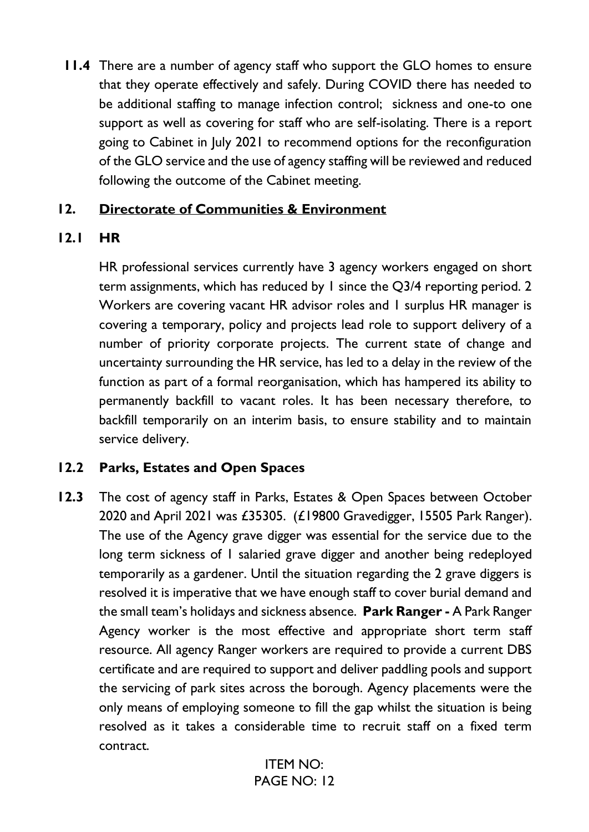**11.4** There are a number of agency staff who support the GLO homes to ensure that they operate effectively and safely. During COVID there has needed to be additional staffing to manage infection control; sickness and one-to one support as well as covering for staff who are self-isolating. There is a report going to Cabinet in July 2021 to recommend options for the reconfiguration of the GLO service and the use of agency staffing will be reviewed and reduced following the outcome of the Cabinet meeting.

### **12. Directorate of Communities & Environment**

# **12.1 HR**

HR professional services currently have 3 agency workers engaged on short term assignments, which has reduced by 1 since the Q3/4 reporting period. 2 Workers are covering vacant HR advisor roles and 1 surplus HR manager is covering a temporary, policy and projects lead role to support delivery of a number of priority corporate projects. The current state of change and uncertainty surrounding the HR service, has led to a delay in the review of the function as part of a formal reorganisation, which has hampered its ability to permanently backfill to vacant roles. It has been necessary therefore, to backfill temporarily on an interim basis, to ensure stability and to maintain service delivery.

# **12.2 Parks, Estates and Open Spaces**

**12.3** The cost of agency staff in Parks, Estates & Open Spaces between October 2020 and April 2021 was £35305. (£19800 Gravedigger, 15505 Park Ranger). The use of the Agency grave digger was essential for the service due to the long term sickness of 1 salaried grave digger and another being redeployed temporarily as a gardener. Until the situation regarding the 2 grave diggers is resolved it is imperative that we have enough staff to cover burial demand and the small team's holidays and sickness absence. **Park Ranger -** A Park Ranger Agency worker is the most effective and appropriate short term staff resource. All agency Ranger workers are required to provide a current DBS certificate and are required to support and deliver paddling pools and support the servicing of park sites across the borough. Agency placements were the only means of employing someone to fill the gap whilst the situation is being resolved as it takes a considerable time to recruit staff on a fixed term contract.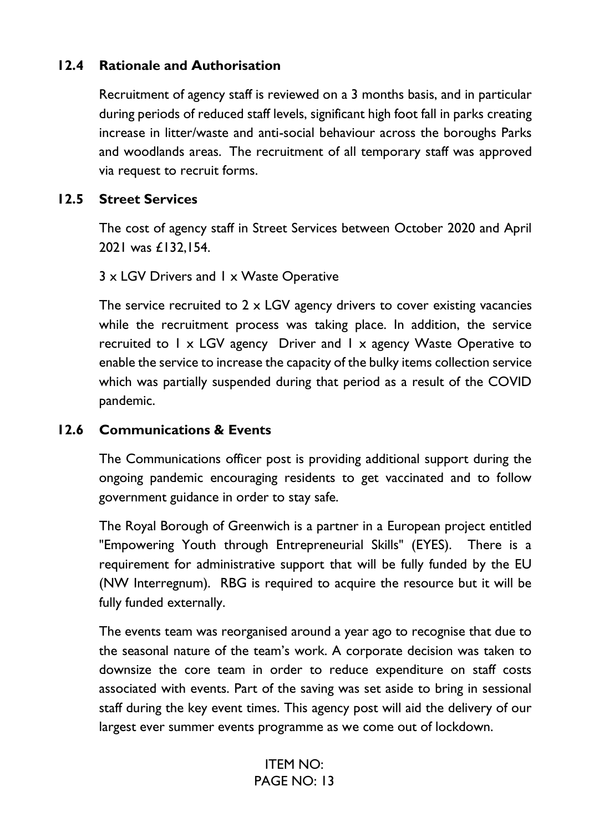### **12.4 Rationale and Authorisation**

Recruitment of agency staff is reviewed on a 3 months basis, and in particular during periods of reduced staff levels, significant high foot fall in parks creating increase in litter/waste and anti-social behaviour across the boroughs Parks and woodlands areas. The recruitment of all temporary staff was approved via request to recruit forms.

#### **12.5 Street Services**

The cost of agency staff in Street Services between October 2020 and April 2021 was £132,154.

#### 3 x LGV Drivers and 1 x Waste Operative

The service recruited to 2 x LGV agency drivers to cover existing vacancies while the recruitment process was taking place. In addition, the service recruited to 1 x LGV agency Driver and 1 x agency Waste Operative to enable the service to increase the capacity of the bulky items collection service which was partially suspended during that period as a result of the COVID pandemic.

#### **12.6 Communications & Events**

The Communications officer post is providing additional support during the ongoing pandemic encouraging residents to get vaccinated and to follow government guidance in order to stay safe.

The Royal Borough of Greenwich is a partner in a European project entitled "Empowering Youth through Entrepreneurial Skills" (EYES). There is a requirement for administrative support that will be fully funded by the EU (NW Interregnum). RBG is required to acquire the resource but it will be fully funded externally.

The events team was reorganised around a year ago to recognise that due to the seasonal nature of the team's work. A corporate decision was taken to downsize the core team in order to reduce expenditure on staff costs associated with events. Part of the saving was set aside to bring in sessional staff during the key event times. This agency post will aid the delivery of our largest ever summer events programme as we come out of lockdown.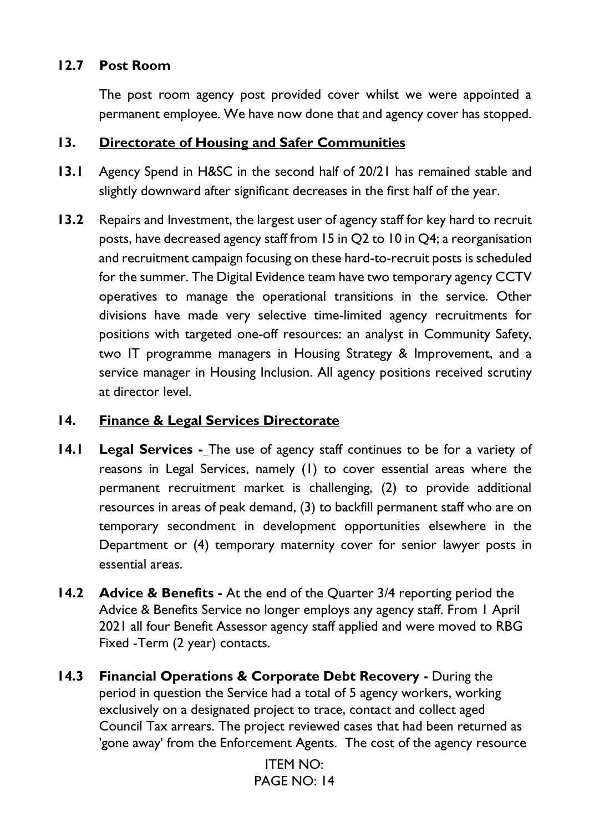### **12.7 Post Room**

The post room agency post provided cover whilst we were appointed a permanent employee. We have now done that and agency cover has stopped.

#### **13. Directorate of Housing and Safer Communities**

- **13.1** Agency Spend in H&SC in the second half of 20/21 has remained stable and slightly downward after significant decreases in the first half of the year.
- **13.2** Repairs and Investment, the largest user of agency staff for key hard to recruit posts, have decreased agency staff from 15 in Q2 to 10 in Q4; a reorganisation and recruitment campaign focusing on these hard-to-recruit posts is scheduled for the summer. The Digital Evidence team have two temporary agency CCTV operatives to manage the operational transitions in the service. Other divisions have made very selective time-limited agency recruitments for positions with targeted one-off resources: an analyst in Community Safety, two IT programme managers in Housing Strategy & Improvement, and a service manager in Housing Inclusion. All agency positions received scrutiny at director level.

### **14. Finance & Legal Services Directorate**

- **14.1 Legal Services -\_The use of agency staff continues to be for a variety of** reasons in Legal Services, namely (1) to cover essential areas where the permanent recruitment market is challenging, (2) to provide additional resources in areas of peak demand, (3) to backfill permanent staff who are on temporary secondment in development opportunities elsewhere in the Department or (4) temporary maternity cover for senior lawyer posts in essential areas.
- **14.2 Advice & Benefits** At the end of the Quarter 3/4 reporting period the Advice & Benefits Service no longer employs any agency staff. From 1 April 2021 all four Benefit Assessor agency staff applied and were moved to RBG Fixed -Term (2 year) contacts.
- **14.3 Financial Operations & Corporate Debt Recovery During the** period in question the Service had a total of 5 agency workers, working exclusively on a designated project to trace, contact and collect aged Council Tax arrears. The project reviewed cases that had been returned as 'gone away' from the Enforcement Agents. The cost of the agency resource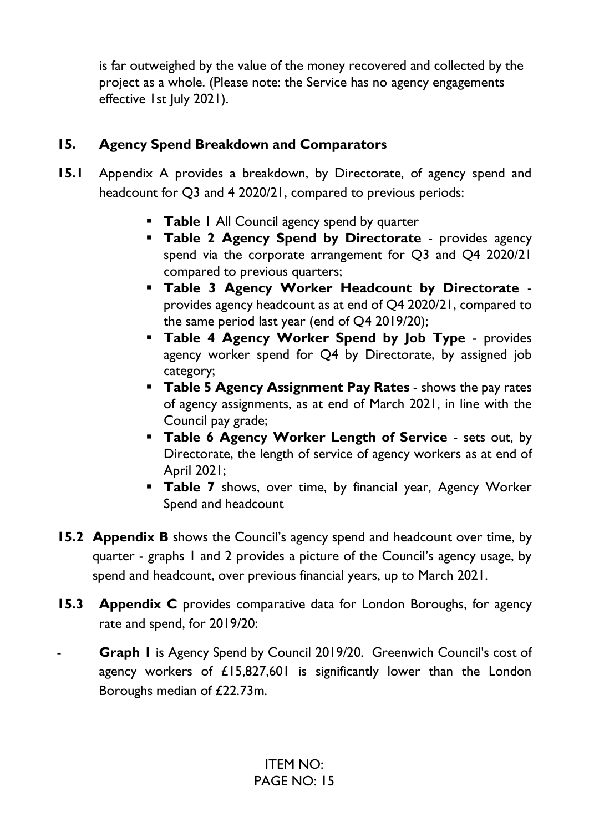is far outweighed by the value of the money recovered and collected by the project as a whole. (Please note: the Service has no agency engagements effective 1st July 2021).

# **15. Agency Spend Breakdown and Comparators**

- **15.1** Appendix A provides a breakdown, by Directorate, of agency spend and headcount for Q3 and 4 2020/21, compared to previous periods:
	- **EXECUTE:** Table 1 All Council agency spend by quarter
	- **Table 2 Agency Spend by Directorate** provides agency spend via the corporate arrangement for Q3 and Q4 2020/21 compared to previous quarters;
	- **Table 3 Agency Worker Headcount by Directorate** provides agency headcount as at end of Q4 2020/21, compared to the same period last year (end of Q4 2019/20);
	- **Table 4 Agency Worker Spend by Job Type** provides agency worker spend for Q4 by Directorate, by assigned job category;
	- **Table 5 Agency Assignment Pay Rates** shows the pay rates of agency assignments, as at end of March 2021, in line with the Council pay grade;
	- **Table 6 Agency Worker Length of Service** sets out, by Directorate, the length of service of agency workers as at end of April 2021;
	- **Table 7** shows, over time, by financial year, Agency Worker Spend and headcount
- **15.2 Appendix B** shows the Council's agency spend and headcount over time, by quarter - graphs 1 and 2 provides a picture of the Council's agency usage, by spend and headcount, over previous financial years, up to March 2021.
- **15.3 Appendix C** provides comparative data for London Boroughs, for agency rate and spend, for 2019/20:
- **Graph I** is Agency Spend by Council 2019/20. Greenwich Council's cost of agency workers of £15,827,601 is significantly lower than the London Boroughs median of £22.73m.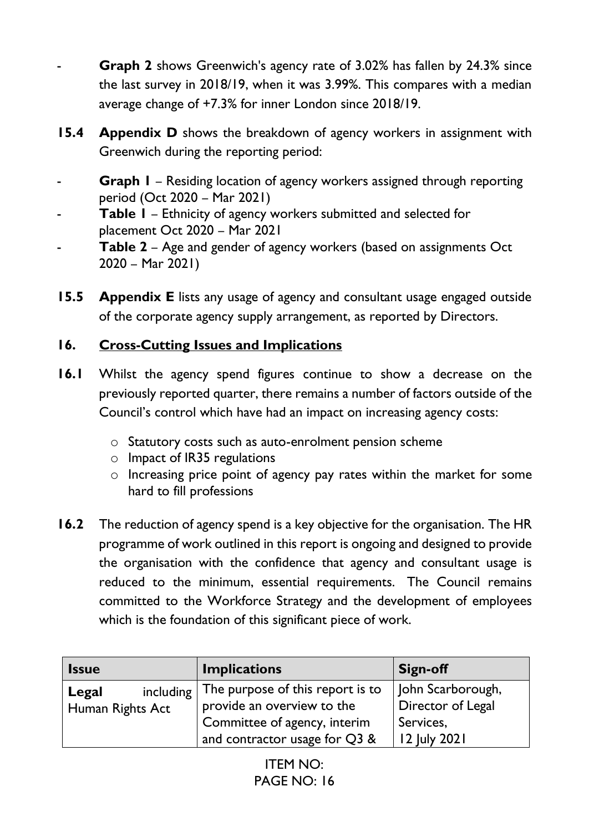- **Graph 2** shows Greenwich's agency rate of 3.02% has fallen by 24.3% since the last survey in 2018/19, when it was 3.99%. This compares with a median average change of +7.3% for inner London since 2018/19.
- **15.4 Appendix D** shows the breakdown of agency workers in assignment with Greenwich during the reporting period:
- **Graph I** Residing location of agency workers assigned through reporting period (Oct 2020 – Mar 2021)
- **Table I** Ethnicity of agency workers submitted and selected for placement Oct 2020 – Mar 2021
- **Table 2** Age and gender of agency workers (based on assignments Oct 2020 – Mar 2021)
- **15.5 Appendix E** lists any usage of agency and consultant usage engaged outside of the corporate agency supply arrangement, as reported by Directors.

# **16. Cross-Cutting Issues and Implications**

- **16.1** Whilst the agency spend figures continue to show a decrease on the previously reported quarter, there remains a number of factors outside of the Council's control which have had an impact on increasing agency costs:
	- o Statutory costs such as auto-enrolment pension scheme
	- o Impact of IR35 regulations
	- o Increasing price point of agency pay rates within the market for some hard to fill professions
- **16.2** The reduction of agency spend is a key objective for the organisation. The HR programme of work outlined in this report is ongoing and designed to provide the organisation with the confidence that agency and consultant usage is reduced to the minimum, essential requirements. The Council remains committed to the Workforce Strategy and the development of employees which is the foundation of this significant piece of work.

| <b>Issue</b>                           | <b>Implications</b>                                                                                                             | Sign-off                                                            |
|----------------------------------------|---------------------------------------------------------------------------------------------------------------------------------|---------------------------------------------------------------------|
| including<br>Legal<br>Human Rights Act | The purpose of this report is to<br>provide an overview to the<br>Committee of agency, interim<br>and contractor usage for Q3 & | John Scarborough,<br>Director of Legal<br>Services,<br>12 July 2021 |